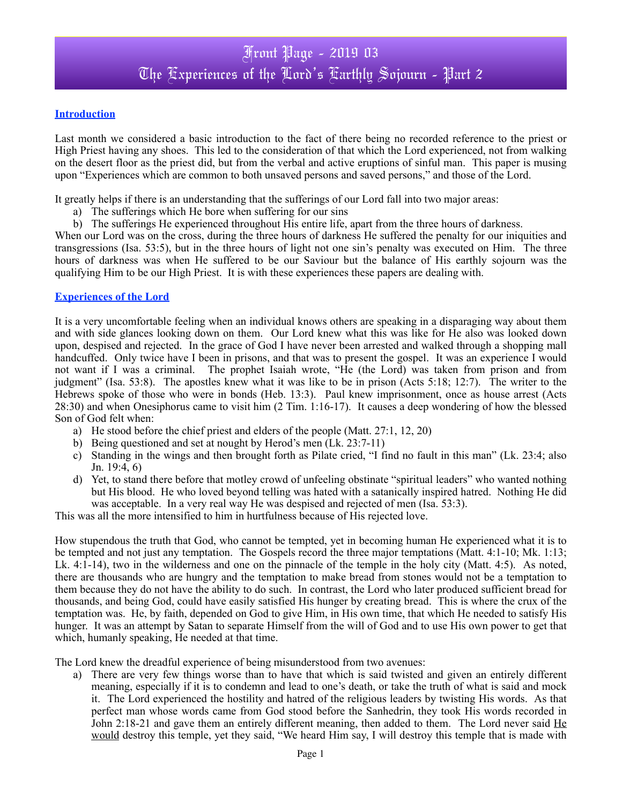### **Introduction**

Last month we considered a basic introduction to the fact of there being no recorded reference to the priest or High Priest having any shoes. This led to the consideration of that which the Lord experienced, not from walking on the desert floor as the priest did, but from the verbal and active eruptions of sinful man. This paper is musing upon "Experiences which are common to both unsaved persons and saved persons," and those of the Lord.

It greatly helps if there is an understanding that the sufferings of our Lord fall into two major areas:

- a) The sufferings which He bore when suffering for our sins
- b) The sufferings He experienced throughout His entire life, apart from the three hours of darkness.

When our Lord was on the cross, during the three hours of darkness He suffered the penalty for our iniquities and transgressions (Isa. 53:5), but in the three hours of light not one sin's penalty was executed on Him. The three hours of darkness was when He suffered to be our Saviour but the balance of His earthly sojourn was the qualifying Him to be our High Priest. It is with these experiences these papers are dealing with.

#### **Experiences of the Lord**

It is a very uncomfortable feeling when an individual knows others are speaking in a disparaging way about them and with side glances looking down on them. Our Lord knew what this was like for He also was looked down upon, despised and rejected. In the grace of God I have never been arrested and walked through a shopping mall handcuffed. Only twice have I been in prisons, and that was to present the gospel. It was an experience I would not want if I was a criminal. The prophet Isaiah wrote, "He (the Lord) was taken from prison and from judgment" (Isa. 53:8). The apostles knew what it was like to be in prison (Acts 5:18; 12:7). The writer to the Hebrews spoke of those who were in bonds (Heb. 13:3). Paul knew imprisonment, once as house arrest (Acts 28:30) and when Onesiphorus came to visit him (2 Tim. 1:16-17). It causes a deep wondering of how the blessed Son of God felt when:

- a) He stood before the chief priest and elders of the people (Matt. 27:1, 12, 20)
- b) Being questioned and set at nought by Herod's men (Lk. 23:7-11)
- c) Standing in the wings and then brought forth as Pilate cried, "I find no fault in this man" (Lk. 23:4; also Jn. 19:4, 6)
- d) Yet, to stand there before that motley crowd of unfeeling obstinate "spiritual leaders" who wanted nothing but His blood. He who loved beyond telling was hated with a satanically inspired hatred. Nothing He did was acceptable. In a very real way He was despised and rejected of men (Isa. 53:3).

This was all the more intensified to him in hurtfulness because of His rejected love.

How stupendous the truth that God, who cannot be tempted, yet in becoming human He experienced what it is to be tempted and not just any temptation. The Gospels record the three major temptations (Matt. 4:1-10; Mk. 1:13; Lk. 4:1-14), two in the wilderness and one on the pinnacle of the temple in the holy city (Matt. 4:5). As noted, there are thousands who are hungry and the temptation to make bread from stones would not be a temptation to them because they do not have the ability to do such. In contrast, the Lord who later produced sufficient bread for thousands, and being God, could have easily satisfied His hunger by creating bread. This is where the crux of the temptation was. He, by faith, depended on God to give Him, in His own time, that which He needed to satisfy His hunger. It was an attempt by Satan to separate Himself from the will of God and to use His own power to get that which, humanly speaking, He needed at that time.

The Lord knew the dreadful experience of being misunderstood from two avenues:

a) There are very few things worse than to have that which is said twisted and given an entirely different meaning, especially if it is to condemn and lead to one's death, or take the truth of what is said and mock it. The Lord experienced the hostility and hatred of the religious leaders by twisting His words. As that perfect man whose words came from God stood before the Sanhedrin, they took His words recorded in John 2:18-21 and gave them an entirely different meaning, then added to them. The Lord never said  $H\text{e}$ would destroy this temple, yet they said, "We heard Him say, I will destroy this temple that is made with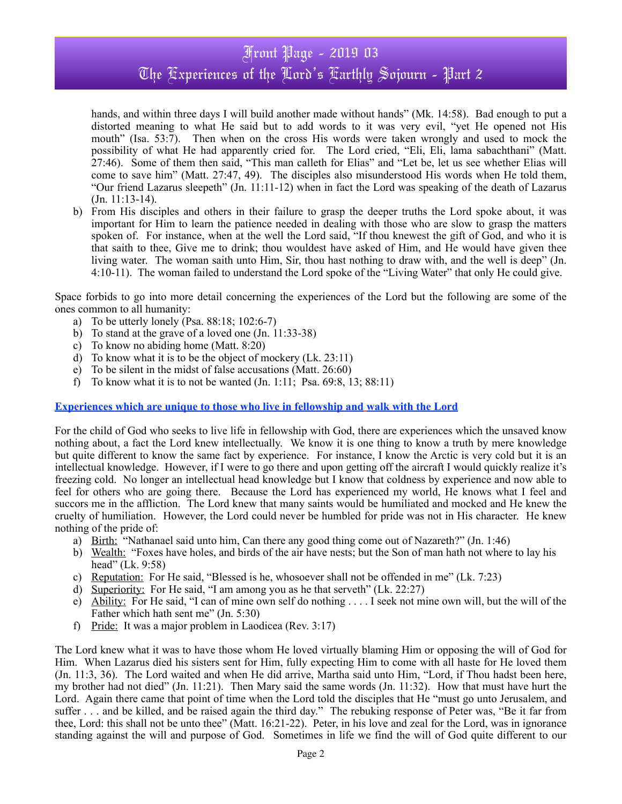## Front Page - 2019 03 The Fxperiences of the Lord's Farthly Sojourn - Part 2

hands, and within three days I will build another made without hands" (Mk. 14:58). Bad enough to put a distorted meaning to what He said but to add words to it was very evil, "yet He opened not His mouth" (Isa. 53:7). Then when on the cross His words were taken wrongly and used to mock the possibility of what He had apparently cried for. The Lord cried, "Eli, Eli, lama sabachthani" (Matt. 27:46). Some of them then said, "This man calleth for Elias" and "Let be, let us see whether Elias will come to save him" (Matt. 27:47, 49). The disciples also misunderstood His words when He told them, "Our friend Lazarus sleepeth" (Jn. 11:11-12) when in fact the Lord was speaking of the death of Lazarus (Jn. 11:13-14).

b) From His disciples and others in their failure to grasp the deeper truths the Lord spoke about, it was important for Him to learn the patience needed in dealing with those who are slow to grasp the matters spoken of. For instance, when at the well the Lord said, "If thou knewest the gift of God, and who it is that saith to thee, Give me to drink; thou wouldest have asked of Him, and He would have given thee living water. The woman saith unto Him, Sir, thou hast nothing to draw with, and the well is deep" (Jn. 4:10-11). The woman failed to understand the Lord spoke of the "Living Water" that only He could give.

Space forbids to go into more detail concerning the experiences of the Lord but the following are some of the ones common to all humanity:

- a) To be utterly lonely (Psa. 88:18; 102:6-7)
- b) To stand at the grave of a loved one (Jn. 11:33-38)
- c) To know no abiding home (Matt. 8:20)
- d) To know what it is to be the object of mockery (Lk. 23:11)
- e) To be silent in the midst of false accusations (Matt. 26:60)
- f) To know what it is to not be wanted (Jn. 1:11; Psa. 69:8, 13; 88:11)

#### **Experiences which are unique to those who live in fellowship and walk with the Lord**

For the child of God who seeks to live life in fellowship with God, there are experiences which the unsaved know nothing about, a fact the Lord knew intellectually. We know it is one thing to know a truth by mere knowledge but quite different to know the same fact by experience. For instance, I know the Arctic is very cold but it is an intellectual knowledge. However, if I were to go there and upon getting off the aircraft I would quickly realize it's freezing cold. No longer an intellectual head knowledge but I know that coldness by experience and now able to feel for others who are going there. Because the Lord has experienced my world, He knows what I feel and succors me in the affliction. The Lord knew that many saints would be humiliated and mocked and He knew the cruelty of humiliation. However, the Lord could never be humbled for pride was not in His character. He knew nothing of the pride of:

- a) Birth: "Nathanael said unto him, Can there any good thing come out of Nazareth?" (Jn. 1:46)
- b) Wealth: "Foxes have holes, and birds of the air have nests; but the Son of man hath not where to lay his head" (Lk. 9:58)
- c) Reputation: For He said, "Blessed is he, whosoever shall not be offended in me" (Lk. 7:23)
- d) Superiority: For He said, "I am among you as he that serveth" (Lk. 22:27)
- e) Ability: For He said, "I can of mine own self do nothing . . . . I seek not mine own will, but the will of the Father which hath sent me" (Jn. 5:30)
- f) Pride: It was a major problem in Laodicea (Rev. 3:17)

The Lord knew what it was to have those whom He loved virtually blaming Him or opposing the will of God for Him. When Lazarus died his sisters sent for Him, fully expecting Him to come with all haste for He loved them (Jn. 11:3, 36). The Lord waited and when He did arrive, Martha said unto Him, "Lord, if Thou hadst been here, my brother had not died" (Jn. 11:21). Then Mary said the same words (Jn. 11:32). How that must have hurt the Lord. Again there came that point of time when the Lord told the disciples that He "must go unto Jerusalem, and suffer . . . and be killed, and be raised again the third day." The rebuking response of Peter was, "Be it far from thee, Lord: this shall not be unto thee" (Matt. 16:21-22). Peter, in his love and zeal for the Lord, was in ignorance standing against the will and purpose of God. Sometimes in life we find the will of God quite different to our